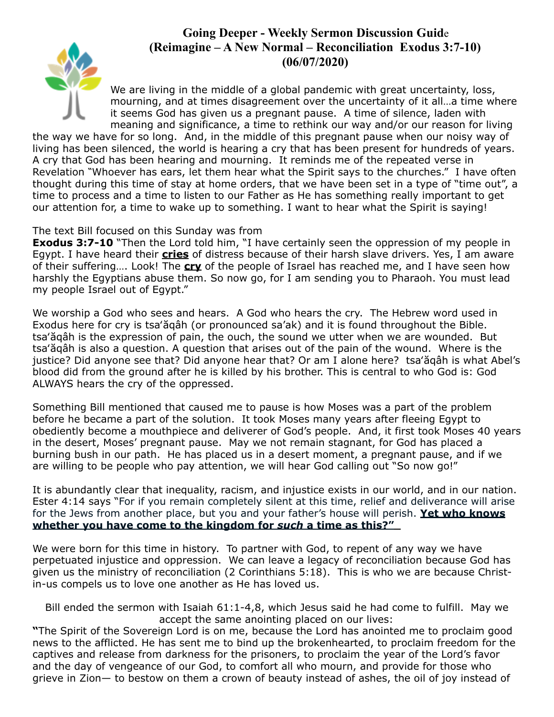## **Going Deeper - Weekly Sermon Discussion Guid**e **(Reimagine – A New Normal – Reconciliation Exodus 3:7-10) (06/07/2020)**



We are living in the middle of a global pandemic with great uncertainty, loss, mourning, and at times disagreement over the uncertainty of it all…a time where it seems God has given us a pregnant pause. A time of silence, laden with meaning and significance, a time to rethink our way and/or our reason for living

the way we have for so long. And, in the middle of this pregnant pause when our noisy way of living has been silenced, the world is hearing a cry that has been present for hundreds of years. A cry that God has been hearing and mourning. It reminds me of the repeated verse in Revelation **"**Whoever has ears, let them hear what the Spirit says to the churches." I have often thought during this time of stay at home orders, that we have been set in a type of "time out", a time to process and a time to listen to our Father as He has something really important to get our attention for, a time to wake up to something. I want to hear what the Spirit is saying!

The text Bill focused on this Sunday was from

**Exodus 3:7-10** "Then the Lord told him, "I have certainly seen the oppression of my people in Egypt. I have heard their **cries** of distress because of their harsh slave drivers. Yes, I am aware of their suffering…. Look! The **cry** of the people of Israel has reached me, and I have seen how harshly the Egyptians abuse them. So now go, for I am sending you to Pharaoh. You must lead my people Israel out of Egypt."

We worship a God who sees and hears. A God who hears the cry. The Hebrew word used in Exodus here for cry is tsa'ăqâh (or pronounced sa'ak) and it is found throughout the Bible. tsa'ăqâh is the expression of pain, the ouch, the sound we utter when we are wounded. But tsa'ăqâh is also a question. A question that arises out of the pain of the wound. Where is the justice? Did anyone see that? Did anyone hear that? Or am I alone here? tsa'ăqâh is what Abel's blood did from the ground after he is killed by his brother. This is central to who God is: God ALWAYS hears the cry of the oppressed.

Something Bill mentioned that caused me to pause is how Moses was a part of the problem before he became a part of the solution. It took Moses many years after fleeing Egypt to obediently become a mouthpiece and deliverer of God's people. And, it first took Moses 40 years in the desert, Moses' pregnant pause. May we not remain stagnant, for God has placed a burning bush in our path. He has placed us in a desert moment, a pregnant pause, and if we are willing to be people who pay attention, we will hear God calling out "So now go!"

It is abundantly clear that inequality, racism, and injustice exists in our world, and in our nation. Ester 4:14 says "For if you remain completely silent at this time, relief and deliverance will arise for the Jews from another place, but you and your father's house will perish. **Yet who knows whether you have come to the kingdom for** *such* **a time as this?"** 

We were born for this time in history. To partner with God, to repent of any way we have perpetuated injustice and oppression. We can leave a legacy of reconciliation because God has given us the ministry of reconciliation (2 Corinthians 5:18). This is who we are because Christin-us compels us to love one another as He has loved us.

Bill ended the sermon with Isaiah 61:1-4,8, which Jesus said he had come to fulfill. May we accept the same anointing placed on our lives:

**"**The Spirit of the Sovereign Lord is on me, because the Lord has anointed me to proclaim good news to the afflicted. He has sent me to bind up the brokenhearted, to proclaim freedom for the captives and release from darkness for the prisoners, to proclaim the year of the Lord's favor and the day of vengeance of our God, to comfort all who mourn, and provide for those who grieve in Zion— to bestow on them a crown of beauty instead of ashes, the oil of joy instead of